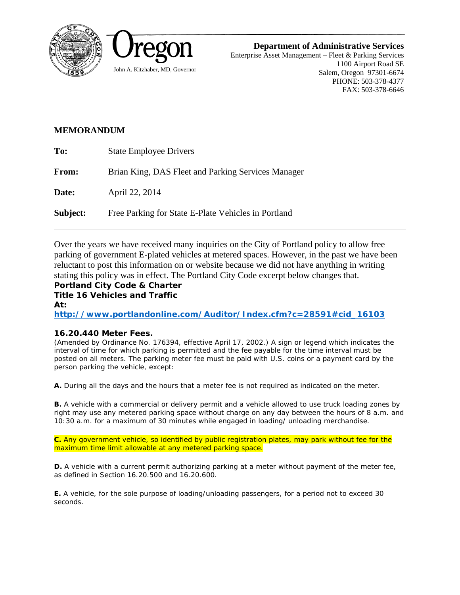



**Department of Administrative Services** 

Enterprise Asset Management – Fleet & Parking Services 1100 Airport Road SE Salem, Oregon 97301-6674 PHONE: 503-378-4377 FAX: 503-378-6646

## **MEMORANDUM**

| To:          | <b>State Employee Drivers</b>                       |
|--------------|-----------------------------------------------------|
| <b>From:</b> | Brian King, DAS Fleet and Parking Services Manager  |
| Date:        | April 22, 2014                                      |
| Subject:     | Free Parking for State E-Plate Vehicles in Portland |

Over the years we have received many inquiries on the City of Portland policy to allow free parking of government E-plated vehicles at metered spaces. However, in the past we have been reluctant to post this information on or website because we did not have anything in writing stating this policy was in effect. The Portland City Code excerpt below changes that.

## *Portland City Code & Charter Title 16 Vehicles and Traffic At:*

*http://www.portlandonline.com/Auditor/Index.cfm?c=28591#cid\_16103* 

## *16.20.440 Meter Fees.*

*(Amended by Ordinance No. 176394, effective April 17, 2002.) A sign or legend which indicates the interval of time for which parking is permitted and the fee payable for the time interval must be*  posted on all meters. The parking meter fee must be paid with U.S. coins or a payment card by the *person parking the vehicle, except:* 

*A. During all the days and the hours that a meter fee is not required as indicated on the meter.* 

*B. A vehicle with a commercial or delivery permit and a vehicle allowed to use truck loading zones by right may use any metered parking space without charge on any day between the hours of 8 a.m. and 10:30 a.m. for a maximum of 30 minutes while engaged in loading/ unloading merchandise.* 

*C. Any government vehicle, so identified by public registration plates, may park without fee for the maximum time limit allowable at any metered parking space.* 

*D. A vehicle with a current permit authorizing parking at a meter without payment of the meter fee, as defined in Section 16.20.500 and 16.20.600.* 

*E. A vehicle, for the sole purpose of loading/unloading passengers, for a period not to exceed 30 seconds.*